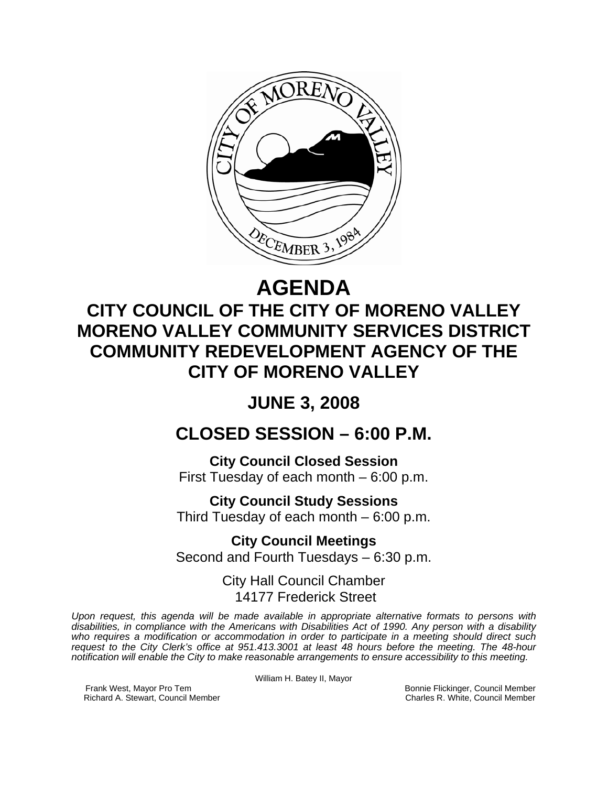

# **AGENDA**

# **CITY COUNCIL OF THE CITY OF MORENO VALLEY MORENO VALLEY COMMUNITY SERVICES DISTRICT COMMUNITY REDEVELOPMENT AGENCY OF THE CITY OF MORENO VALLEY**

# **JUNE 3, 2008**

# **CLOSED SESSION – 6:00 P.M.**

**City Council Closed Session**  First Tuesday of each month – 6:00 p.m.

**City Council Study Sessions**  Third Tuesday of each month – 6:00 p.m.

**City Council Meetings**  Second and Fourth Tuesdays – 6:30 p.m.

> City Hall Council Chamber 14177 Frederick Street

*Upon request, this agenda will be made available in appropriate alternative formats to persons with disabilities, in compliance with the Americans with Disabilities Act of 1990. Any person with a disability who requires a modification or accommodation in order to participate in a meeting should direct such request to the City Clerk's office at 951.413.3001 at least 48 hours before the meeting. The 48-hour notification will enable the City to make reasonable arrangements to ensure accessibility to this meeting.* 

William H. Batey II, Mayor

Frank West, Mayor Pro Tem Bonnie Flickinger, Council Member<br>Richard A. Stewart, Council Member **Bonnie Flickinger, Council Member** Charles R. White, Council Member Richard A. Stewart, Council Member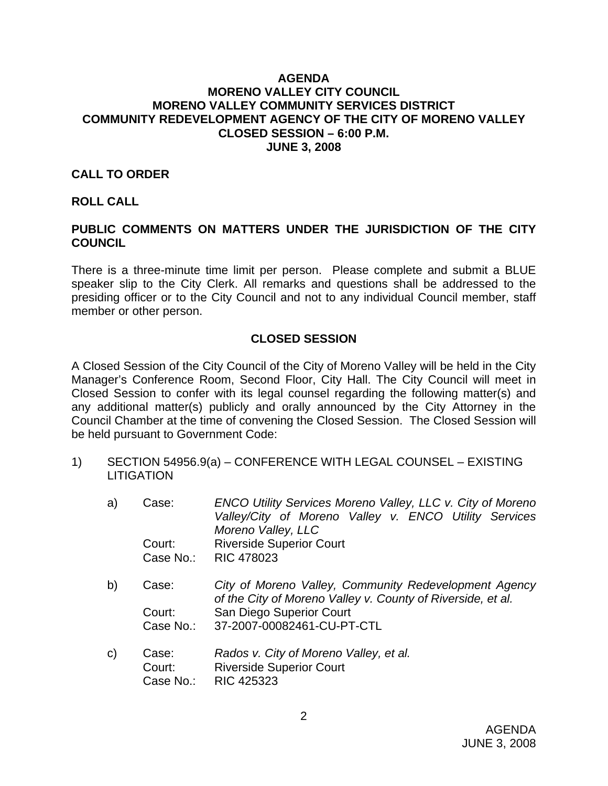#### **AGENDA MORENO VALLEY CITY COUNCIL MORENO VALLEY COMMUNITY SERVICES DISTRICT COMMUNITY REDEVELOPMENT AGENCY OF THE CITY OF MORENO VALLEY CLOSED SESSION – 6:00 P.M. JUNE 3, 2008**

#### **CALL TO ORDER**

#### **ROLL CALL**

### **PUBLIC COMMENTS ON MATTERS UNDER THE JURISDICTION OF THE CITY COUNCIL**

There is a three-minute time limit per person. Please complete and submit a BLUE speaker slip to the City Clerk. All remarks and questions shall be addressed to the presiding officer or to the City Council and not to any individual Council member, staff member or other person.

#### **CLOSED SESSION**

A Closed Session of the City Council of the City of Moreno Valley will be held in the City Manager's Conference Room, Second Floor, City Hall. The City Council will meet in Closed Session to confer with its legal counsel regarding the following matter(s) and any additional matter(s) publicly and orally announced by the City Attorney in the Council Chamber at the time of convening the Closed Session. The Closed Session will be held pursuant to Government Code:

- 1) SECTION 54956.9(a) CONFERENCE WITH LEGAL COUNSEL EXISTING **LITIGATION** 
	- a) Case: *ENCO Utility Services Moreno Valley, LLC v. City of Moreno Valley/City of Moreno Valley v. ENCO Utility Services Moreno Valley, LLC* Court: Riverside Superior Court Case No.: RIC 478023
	- b) Case: *City of Moreno Valley, Community Redevelopment Agency of the City of Moreno Valley v. County of Riverside, et al.*  Court: San Diego Superior Court Case No.: 37-2007-00082461-CU-PT-CTL
	- c) Case: *Rados v. City of Moreno Valley, et al.* Court: Riverside Superior Court Case No.: RIC 425323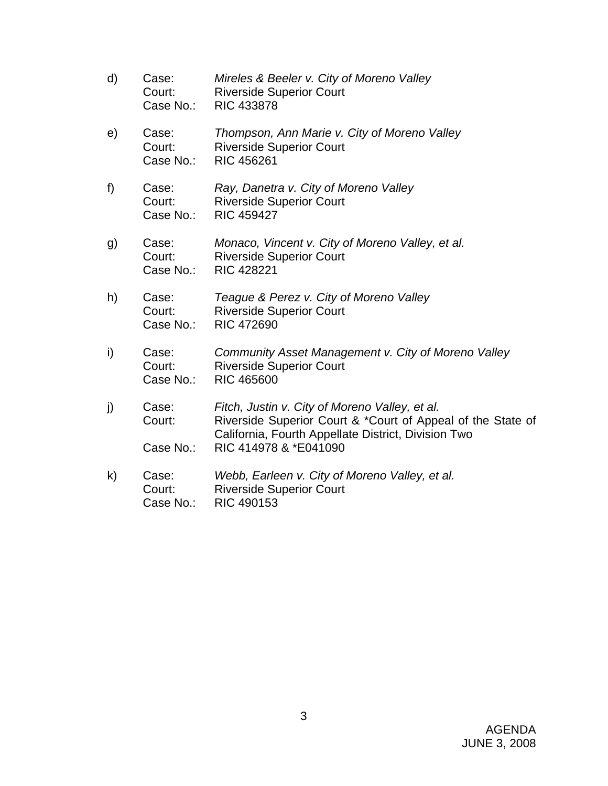d) Case: *Mireles & Beeler v. City of Moreno Valley*  Court: Riverside Superior Court Case No.: RIC 433878 e) Case: *Thompson, Ann Marie v. City of Moreno Valley*  Court: Riverside Superior Court Case No.: RIC 456261 f) Case: *Ray, Danetra v. City of Moreno Valley*  Court: Riverside Superior Court Case No.: RIC 459427 g) Case: *Monaco, Vincent v. City of Moreno Valley, et al.*  Court: Riverside Superior Court Case No.: RIC 428221 h) Case: *Teague & Perez v. City of Moreno Valley*  Court: Riverside Superior Court Case No.: RIC 472690 i) Case: *Community Asset Management v. City of Moreno Valley*  Court: Riverside Superior Court Case No.: RIC 465600 j) Case: *Fitch, Justin v. City of Moreno Valley, et al.*  Court: Riverside Superior Court & \*Court of Appeal of the State of California, Fourth Appellate District, Division Two Case No.: RIC 414978 & \*E041090 k) Case: *Webb, Earleen v. City of Moreno Valley, et al.*  Court: Riverside Superior Court Case No.: RIC 490153